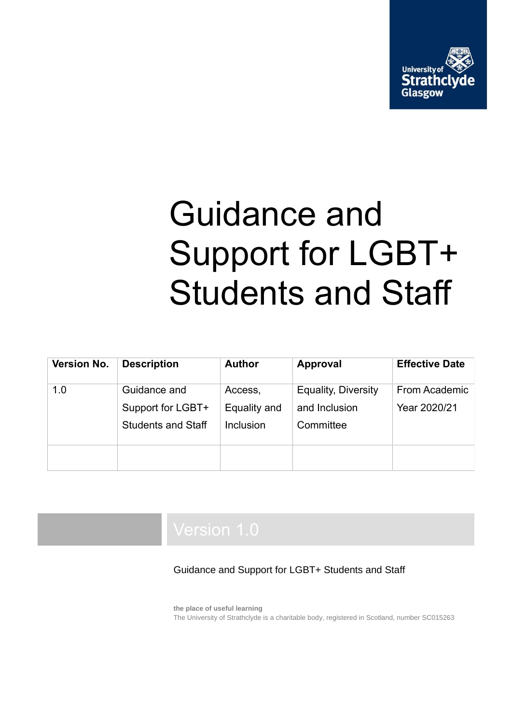

# Guidance and Support for LGBT+ Students and Staff

| Version No. | <b>Description</b>        | <b>Author</b> | <b>Approval</b>            | <b>Effective Date</b> |
|-------------|---------------------------|---------------|----------------------------|-----------------------|
| 1.0         | Guidance and              | Access,       | <b>Equality, Diversity</b> | From Academic         |
|             | Support for LGBT+         | Equality and  | and Inclusion              | Year 2020/21          |
|             | <b>Students and Staff</b> | Inclusion     | Committee                  |                       |
|             |                           |               |                            |                       |

Guidance and Support for LGBT+ Students and Staff

**the place of useful learning** The University of Strathclyde is a charitable body, registered in Scotland, number SC015263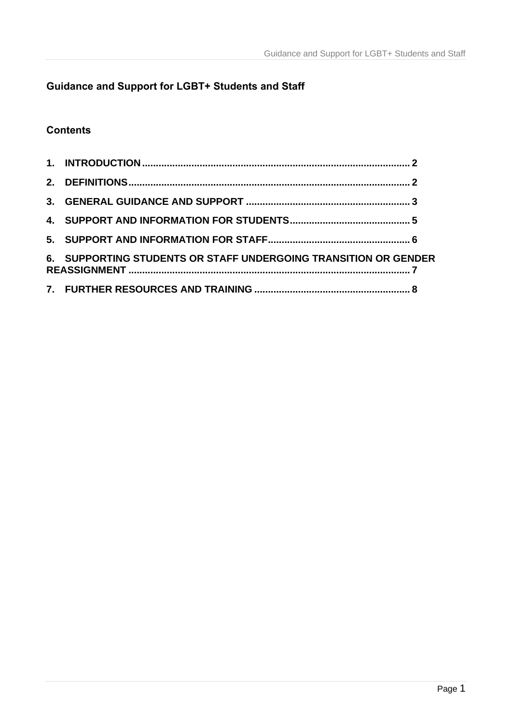## **Guidance and Support for LGBT+ Students and Staff**

### **Contents**

| 6. SUPPORTING STUDENTS OR STAFF UNDERGOING TRANSITION OR GENDER |  |
|-----------------------------------------------------------------|--|
|                                                                 |  |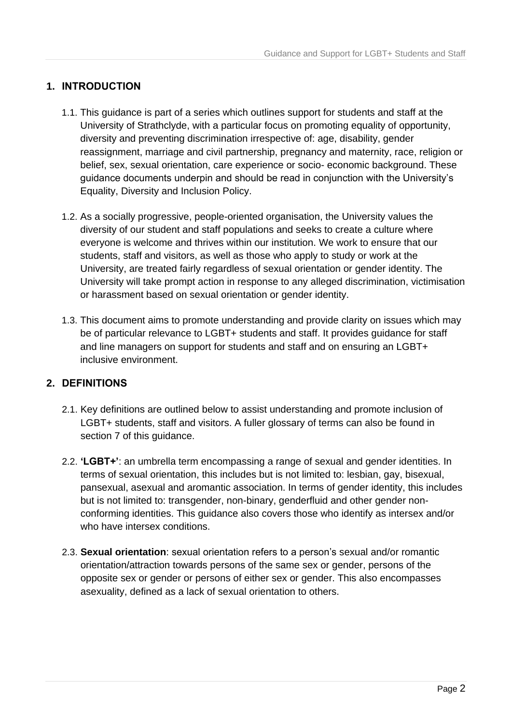#### <span id="page-2-0"></span>**1. INTRODUCTION**

- 1.1. This guidance is part of a series which outlines support for students and staff at the University of Strathclyde, with a particular focus on promoting equality of opportunity, diversity and preventing discrimination irrespective of: age, disability, gender reassignment, marriage and civil partnership, pregnancy and maternity, race, religion or belief, sex, sexual orientation, care experience or socio- economic background. These guidance documents underpin and should be read in conjunction with the University's Equality, Diversity and Inclusion Policy.
- 1.2. As a socially progressive, people-oriented organisation, the University values the diversity of our student and staff populations and seeks to create a culture where everyone is welcome and thrives within our institution. We work to ensure that our students, staff and visitors, as well as those who apply to study or work at the University, are treated fairly regardless of sexual orientation or gender identity. The University will take prompt action in response to any alleged discrimination, victimisation or harassment based on sexual orientation or gender identity.
- 1.3. This document aims to promote understanding and provide clarity on issues which may be of particular relevance to LGBT+ students and staff. It provides guidance for staff and line managers on support for students and staff and on ensuring an LGBT+ inclusive environment.

#### <span id="page-2-1"></span>**2. DEFINITIONS**

- 2.1. Key definitions are outlined below to assist understanding and promote inclusion of LGBT+ students, staff and visitors. A fuller glossary of terms can also be found in section 7 of this guidance.
- 2.2. **'LGBT+'**: an umbrella term encompassing a range of sexual and gender identities. In terms of sexual orientation, this includes but is not limited to: lesbian, gay, bisexual, pansexual, asexual and aromantic association. In terms of gender identity, this includes but is not limited to: transgender, non-binary, genderfluid and other gender nonconforming identities. This guidance also covers those who identify as intersex and/or who have intersex conditions.
- 2.3. **Sexual orientation**: sexual orientation refers to a person's sexual and/or romantic orientation/attraction towards persons of the same sex or gender, persons of the opposite sex or gender or persons of either sex or gender. This also encompasses asexuality, defined as a lack of sexual orientation to others.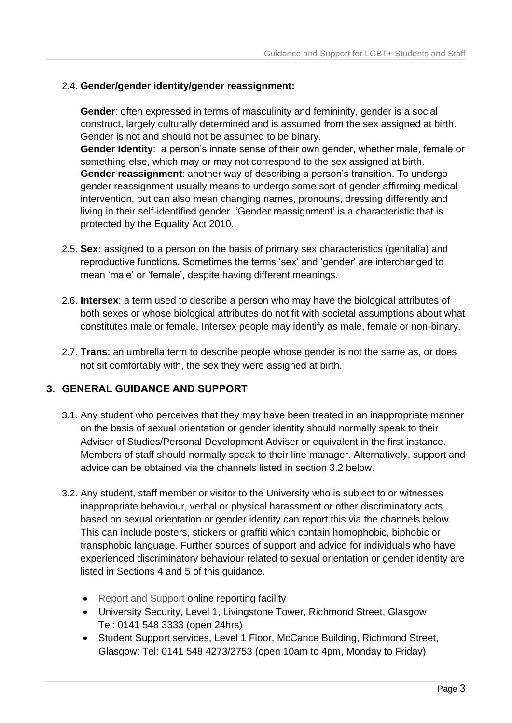#### 2.4. **Gender/gender identity/gender reassignment:**

**Gender**: often expressed in terms of masculinity and femininity, gender is a social construct, largely culturally determined and is assumed from the sex assigned at birth. Gender is not and should not be assumed to be binary.

**Gender Identity**: a person's innate sense of their own gender, whether male, female or something else, which may or may not correspond to the sex assigned at birth. **Gender reassignment**: another way of describing a person's transition. To undergo gender reassignment usually means to undergo some sort of gender affirming medical intervention, but can also mean changing names, pronouns, dressing differently and living in their self-identified gender. 'Gender reassignment' is a characteristic that is protected by the Equality Act 2010.

- 2.5. **Sex:** assigned to a person on the basis of primary sex characteristics (genitalia) and reproductive functions. Sometimes the terms 'sex' and 'gender' are interchanged to mean 'male' or 'female', despite having different meanings.
- 2.6. **Intersex**: a term used to describe a person who may have the biological attributes of both sexes or whose biological attributes do not fit with societal assumptions about what constitutes male or female. Intersex people may identify as male, female or non-binary.
- 2.7. **Trans**: an umbrella term to describe people whose gender is not the same as, or does not sit comfortably with, the sex they were assigned at birth.

#### <span id="page-3-0"></span>**3. GENERAL GUIDANCE AND SUPPORT**

- 3.1. Any student who perceives that they may have been treated in an inappropriate manner on the basis of sexual orientation or gender identity should normally speak to their Adviser of Studies/Personal Development Adviser or equivalent in the first instance. Members of staff should normally speak to their line manager. Alternatively, support and advice can be obtained via the channels listed in section 3.2 below.
- 3.2. Any student, staff member or visitor to the University who is subject to or witnesses inappropriate behaviour, verbal or physical harassment or other discriminatory acts based on sexual orientation or gender identity can report this via the channels below. This can include posters, stickers or graffiti which contain homophobic, biphobic or transphobic language. Further sources of support and advice for individuals who have experienced discriminatory behaviour related to sexual orientation or gender identity are listed in Sections 4 and 5 of this guidance.
	- [Report and Support](https://www.strath.ac.uk/studywithus/strathlife/reportsupport/) online reporting facility
	- University Security, Level 1, Livingstone Tower, Richmond Street, Glasgow Tel: 0141 548 3333 (open 24hrs)
	- Student Support services, Level 1 Floor, McCance Building, Richmond Street, Glasgow: Tel: 0141 548 4273/2753 (open 10am to 4pm, Monday to Friday)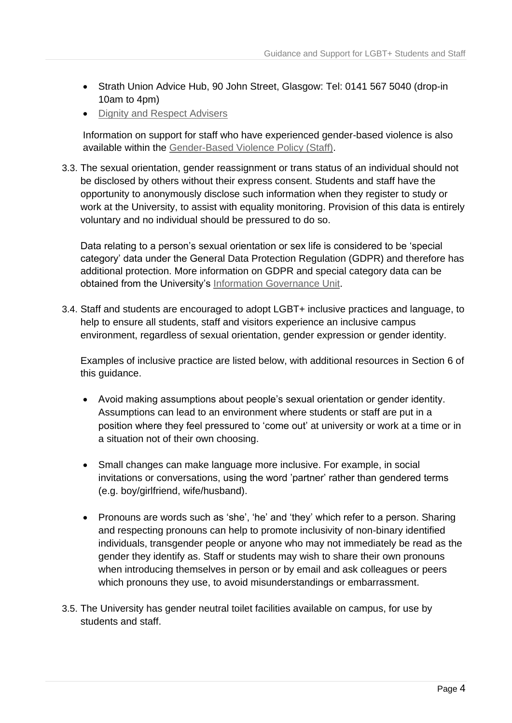- Strath Union Advice Hub, 90 John Street, Glasgow: Tel: 0141 567 5040 (drop-in 10am to 4pm)
- [Dignity and Respect Advisers](https://www.strath.ac.uk/equalitydiversity/dignityandrespect/)

Information on support for staff who have experienced gender-based violence is also available within the [Gender-Based Violence Policy \(Staff\).](https://www.strath.ac.uk/media/ps/humanresources/policies/GBV_Policy.pdf)

3.3. The sexual orientation, gender reassignment or trans status of an individual should not be disclosed by others without their express consent. Students and staff have the opportunity to anonymously disclose such information when they register to study or work at the University, to assist with equality monitoring. Provision of this data is entirely voluntary and no individual should be pressured to do so.

Data relating to a person's sexual orientation or sex life is considered to be 'special category' data under the General Data Protection Regulation (GDPR) and therefore has additional protection. More information on GDPR and special category data can be obtained from the University's [Information Governance Unit.](https://www.strath.ac.uk/whystrathclyde/universitygovernance/accesstoinformation/dataprotection/)

3.4. Staff and students are encouraged to adopt LGBT+ inclusive practices and language, to help to ensure all students, staff and visitors experience an inclusive campus environment, regardless of sexual orientation, gender expression or gender identity.

Examples of inclusive practice are listed below, with additional resources in Section 6 of this guidance.

- Avoid making assumptions about people's sexual orientation or gender identity. Assumptions can lead to an environment where students or staff are put in a position where they feel pressured to 'come out' at university or work at a time or in a situation not of their own choosing.
- Small changes can make language more inclusive. For example, in social invitations or conversations, using the word 'partner' rather than gendered terms (e.g. boy/girlfriend, wife/husband).
- Pronouns are words such as 'she', 'he' and 'they' which refer to a person. Sharing and respecting pronouns can help to promote inclusivity of non-binary identified individuals, transgender people or anyone who may not immediately be read as the gender they identify as. Staff or students may wish to share their own pronouns when introducing themselves in person or by email and ask colleagues or peers which pronouns they use, to avoid misunderstandings or embarrassment.
- 3.5. The University has gender neutral toilet facilities available on campus, for use by students and staff.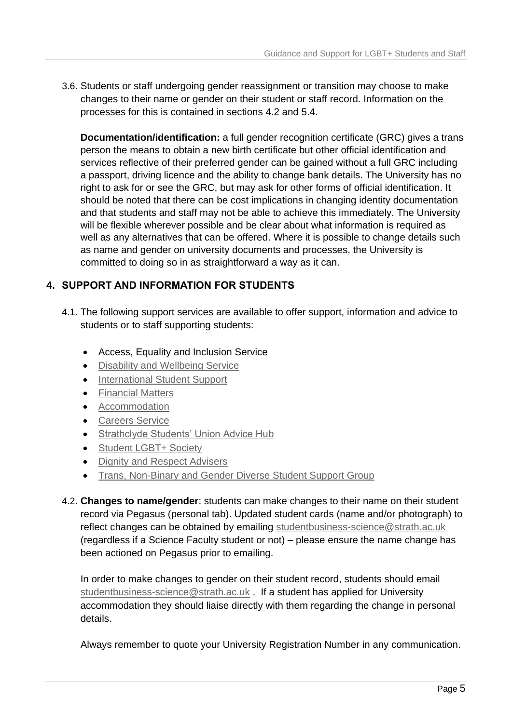3.6. Students or staff undergoing gender reassignment or transition may choose to make changes to their name or gender on their student or staff record. Information on the processes for this is contained in sections 4.2 and 5.4.

**Documentation/identification:** a full gender recognition certificate (GRC) gives a trans person the means to obtain a new birth certificate but other official identification and services reflective of their preferred gender can be gained without a full GRC including a passport, driving licence and the ability to change bank details. The University has no right to ask for or see the GRC, but may ask for other forms of official identification. It should be noted that there can be cost implications in changing identity documentation and that students and staff may not be able to achieve this immediately. The University will be flexible wherever possible and be clear about what information is required as well as any alternatives that can be offered. Where it is possible to change details such as name and gender on university documents and processes, the University is committed to doing so in as straightforward a way as it can.

#### <span id="page-5-0"></span>**4. SUPPORT AND INFORMATION FOR STUDENTS**

- 4.1. The following support services are available to offer support, information and advice to students or to staff supporting students:
	- Access, Equality and Inclusion Service
	- [Disability and Wellbeing Service](https://www.strath.ac.uk/professionalservices/disabilityandwellbeing/)
	- [International Student Support](https://www.strath.ac.uk/studywithus/internationalstudents/whileyourehere/internationalstudentsupportteam/)
	- [Financial Matters](https://www.strath.ac.uk/studywithus/internationalstudents/whileyourehere/internationalstudentsupportteam/)
	- [Accommodation](https://www.strath.ac.uk/studywithus/accommodation/)
	- [Careers Service](https://www.strath.ac.uk/professionalservices/careers/)
	- [Strathclyde Students' Union Advice Hub](https://www.strathunion.com/advice/)
	- [Student LGBT+ Society](https://www.strathunion.com/clubs-socs/societies/soc/6836/)
	- [Dignity and Respect Advisers](https://www.strath.ac.uk/equalitydiversity/dignityandrespect/)
	- [Trans, Non-Binary and Gender Diverse Student Support Group](https://www.strath.ac.uk/equalitydiversity/studentsupport/)
- 4.2. **Changes to name/gender**: students can make changes to their name on their student record via Pegasus (personal tab). Updated student cards (name and/or photograph) to reflect changes can be obtained by emailing [studentbusiness-science@strath.ac.uk](mailto:studentbusiness-science@strath.ac.uk) (regardless if a Science Faculty student or not) – please ensure the name change has been actioned on Pegasus prior to emailing.

In order to make changes to gender on their student record, students should email [studentbusiness-science@strath.ac.uk](mailto:studentbusiness-science@strath.ac.uk) . If a student has applied for University accommodation they should liaise directly with them regarding the change in personal details.

Always remember to quote your University Registration Number in any communication.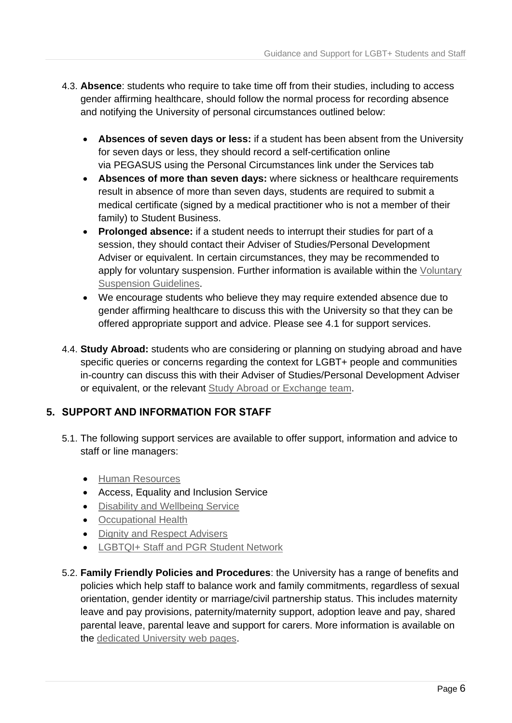- 4.3. **Absence**: students who require to take time off from their studies, including to access gender affirming healthcare, should follow the normal process for recording absence and notifying the University of personal circumstances outlined below:
	- **Absences of seven days or less:** if a student has been absent from the University for seven days or less, they should record a self-certification online via PEGASUS using the Personal Circumstances link under the Services tab
	- **Absences of more than seven days:** where sickness or healthcare requirements result in absence of more than seven days, students are required to submit a medical certificate (signed by a medical practitioner who is not a member of their family) to Student Business.
	- **Prolonged absence:** if a student needs to interrupt their studies for part of a session, they should contact their Adviser of Studies/Personal Development Adviser or equivalent. In certain circumstances, they may be recommended to apply for voluntary suspension. Further information is available within the [Voluntary](https://www.strath.ac.uk/media/ps/cs/gmap/academicaffairs/policies/Voluntary_Suspension_guidelines_May_2019_approved.pdf)  [Suspension Guidelines.](https://www.strath.ac.uk/media/ps/cs/gmap/academicaffairs/policies/Voluntary_Suspension_guidelines_May_2019_approved.pdf)
	- We encourage students who believe they may require extended absence due to gender affirming healthcare to discuss this with the University so that they can be offered appropriate support and advice. Please see 4.1 for support services.
- 4.4. **Study Abroad:** students who are considering or planning on studying abroad and have specific queries or concerns regarding the context for LGBT+ people and communities in-country can discuss this with their Adviser of Studies/Personal Development Adviser or equivalent, or the relevant [Study Abroad or Exchange team.](https://www.strath.ac.uk/studywithus/studyabroad/comingtostrathclyde/)

#### <span id="page-6-0"></span>**5. SUPPORT AND INFORMATION FOR STAFF**

- 5.1. The following support services are available to offer support, information and advice to staff or line managers:
	- [Human Resources](https://www.strath.ac.uk/professionalservices/hr/)
	- Access, Equality and Inclusion Service
	- [Disability and Wellbeing Service](https://www.strath.ac.uk/professionalservices/disabilityandwellbeing/)
	- [Occupational Health](https://www.strath.ac.uk/wellbeing/occupationalhealth/)
	- [Dignity and Respect Advisers](https://www.strath.ac.uk/equalitydiversity/dignityandrespect/)
	- [LGBTQI+ Staff and PGR Student Network](https://www.stemequals.ac.uk/Initiatives/Strathclyde-LGBTQI-Network)
- 5.2. **Family Friendly Policies and Procedures**: the University has a range of benefits and policies which help staff to balance work and family commitments, regardless of sexual orientation, gender identity or marriage/civil partnership status. This includes maternity leave and pay provisions, paternity/maternity support, adoption leave and pay, shared parental leave, parental leave and support for carers. More information is available on the [dedicated University web pages.](https://www.strath.ac.uk/professionalservices/hr/policiesandprocedures/family-friendlypoliciesandprocedures/)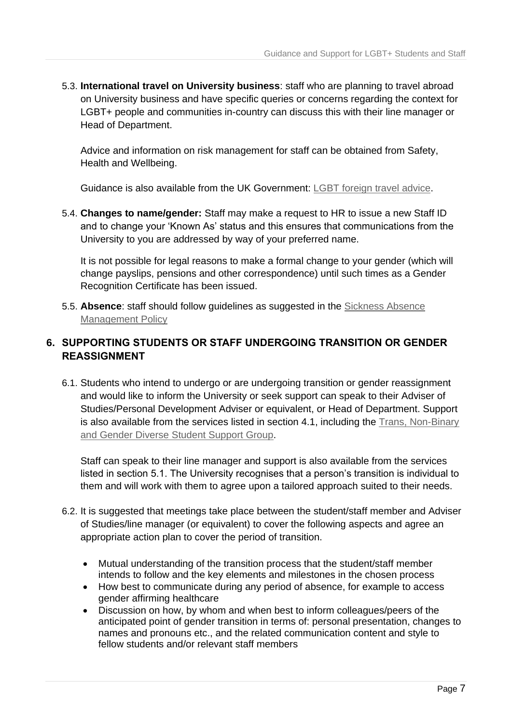5.3. **International travel on University business**: staff who are planning to travel abroad on University business and have specific queries or concerns regarding the context for LGBT+ people and communities in-country can discuss this with their line manager or Head of Department.

Advice and information on risk management for staff can be obtained from Safety, Health and Wellbeing.

Guidance is also available from the UK Government: [LGBT foreign travel advice.](https://www.gov.uk/guidance/lesbian-gay-bisexual-and-transgender-foreign-travel-advice)

5.4. **Changes to name/gender:** Staff may make a request to HR to issue a new Staff ID and to change your 'Known As' status and this ensures that communications from the University to you are addressed by way of your preferred name.

It is not possible for legal reasons to make a formal change to your gender (which will change payslips, pensions and other correspondence) until such times as a Gender Recognition Certificate has been issued.

5.5. **Absence**: staff should follow guidelines as suggested in the [Sickness Absence](https://www.strath.ac.uk/media/ps/humanresources/policies/Sickness_Absence_Management_Policy_published.pdf)  [Management Policy](https://www.strath.ac.uk/media/ps/humanresources/policies/Sickness_Absence_Management_Policy_published.pdf)

#### <span id="page-7-0"></span>**6. SUPPORTING STUDENTS OR STAFF UNDERGOING TRANSITION OR GENDER REASSIGNMENT**

6.1. Students who intend to undergo or are undergoing transition or gender reassignment and would like to inform the University or seek support can speak to their Adviser of Studies/Personal Development Adviser or equivalent, or Head of Department. Support is also available from the services listed in section 4.1, including the Trans, Non-Binary [and Gender Diverse Student Support Group.](https://www.strath.ac.uk/equalitydiversity/studentsupport/)

Staff can speak to their line manager and support is also available from the services listed in section 5.1. The University recognises that a person's transition is individual to them and will work with them to agree upon a tailored approach suited to their needs.

- 6.2. It is suggested that meetings take place between the student/staff member and Adviser of Studies/line manager (or equivalent) to cover the following aspects and agree an appropriate action plan to cover the period of transition.
	- Mutual understanding of the transition process that the student/staff member intends to follow and the key elements and milestones in the chosen process
	- How best to communicate during any period of absence, for example to access gender affirming healthcare
	- Discussion on how, by whom and when best to inform colleagues/peers of the anticipated point of gender transition in terms of: personal presentation, changes to names and pronouns etc., and the related communication content and style to fellow students and/or relevant staff members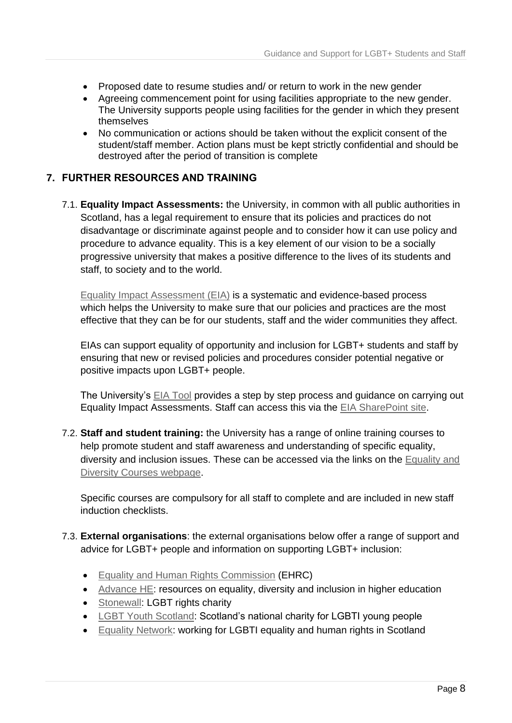- Proposed date to resume studies and/ or return to work in the new gender
- Agreeing commencement point for using facilities appropriate to the new gender. The University supports people using facilities for the gender in which they present themselves
- No communication or actions should be taken without the explicit consent of the student/staff member. Action plans must be kept strictly confidential and should be destroyed after the period of transition is complete

#### <span id="page-8-0"></span>**7. FURTHER RESOURCES AND TRAINING**

7.1. **Equality Impact Assessments:** the University, in common with all public authorities in Scotland, has a legal requirement to ensure that its policies and practices do not disadvantage or discriminate against people and to consider how it can use policy and procedure to advance equality. This is a key element of our vision to be a socially progressive university that makes a positive difference to the lives of its students and staff, to society and to the world.

[Equality Impact Assessment \(EIA\)](https://www.strath.ac.uk/equalitydiversity/eia/) is a systematic and evidence-based process which helps the University to make sure that our policies and practices are the most effective that they can be for our students, staff and the wider communities they affect.

EIAs can support equality of opportunity and inclusion for LGBT+ students and staff by ensuring that new or revised policies and procedures consider potential negative or positive impacts upon LGBT+ people.

The University's [EIA Tool](https://moss.strath.ac.uk/equality/SitePages/Equality%20Impact%20Assessments%20and%20Equality%20Reports.aspx) provides a step by step process and guidance on carrying out Equality Impact Assessments. Staff can access this via the [EIA SharePoint site.](https://moss.strath.ac.uk/equality/SitePages/Equality%20Impact%20Assessments%20and%20Equality%20Reports.aspx)

7.2. **Staff and student training:** the University has a range of online training courses to help promote student and staff awareness and understanding of specific equality, diversity and inclusion issues. These can be accessed via the links on the [Equality and](https://www.strath.ac.uk/equalitydiversity/equalitycourses/)  [Diversity Courses webpage.](https://www.strath.ac.uk/equalitydiversity/equalitycourses/)

Specific courses are compulsory for all staff to complete and are included in new staff induction checklists.

- 7.3. **External organisations**: the external organisations below offer a range of support and advice for LGBT+ people and information on supporting LGBT+ inclusion:
	- [Equality and Human Rights Commission](https://www.equalityhumanrights.com/en) (EHRC)
	- [Advance HE:](https://www.advance-he.ac.uk/guidance/equality-diversity-and-inclusion/student-recruitment-retention-and-attainment/degree-attainment-gaps) resources on equality, diversity and inclusion in higher education
	- [Stonewall:](https://www.stonewall.org.uk/) LGBT rights charity
	- [LGBT Youth Scotland:](https://www.lgbtyouth.org.uk/) Scotland's national charity for LGBTI young people
	- [Equality Network:](https://www.equality-network.org/) working for LGBTI equality and human rights in Scotland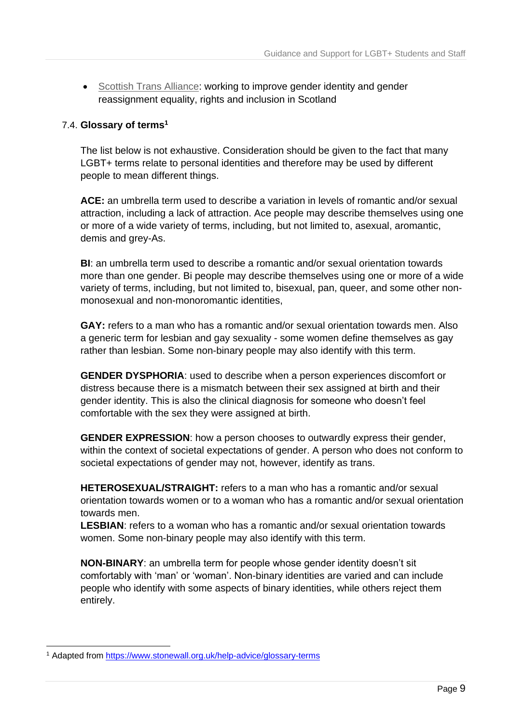• [Scottish Trans Alliance:](https://www.scottishtrans.org/about-us/) working to improve gender identity and gender reassignment equality, rights and inclusion in Scotland

#### 7.4. **Glossary of terms<sup>1</sup>**

The list below is not exhaustive. Consideration should be given to the fact that many LGBT+ terms relate to personal identities and therefore may be used by different people to mean different things.

**ACE:** an umbrella term used to describe a variation in levels of romantic and/or sexual attraction, including a lack of attraction. Ace people may describe themselves using one or more of a wide variety of terms, including, but not limited to, asexual, aromantic, demis and grey-As.

**BI**: an umbrella term used to describe a romantic and/or sexual orientation towards more than one gender. Bi people may describe themselves using one or more of a wide variety of terms, including, but not limited to, bisexual, pan, queer, and some other nonmonosexual and non-monoromantic identities,

**GAY:** refers to a man who has a romantic and/or sexual orientation towards men. Also a generic term for lesbian and gay sexuality - some women define themselves as gay rather than lesbian. Some non-binary people may also identify with this term.

**GENDER DYSPHORIA**: used to describe when a person experiences discomfort or distress because there is a mismatch between their sex assigned at birth and their gender identity. This is also the clinical diagnosis for someone who doesn't feel comfortable with the sex they were assigned at birth.

**GENDER EXPRESSION**: how a person chooses to outwardly express their gender, within the context of societal expectations of gender. A person who does not conform to societal expectations of gender may not, however, identify as trans.

**HETEROSEXUAL/STRAIGHT:** refers to a man who has a romantic and/or sexual orientation towards women or to a woman who has a romantic and/or sexual orientation towards men.

**LESBIAN**: refers to a woman who has a romantic and/or sexual orientation towards women. Some non-binary people may also identify with this term.

**NON-BINARY**: an umbrella term for people whose gender identity doesn't sit comfortably with 'man' or 'woman'. Non-binary identities are varied and can include people who identify with some aspects of binary identities, while others reject them entirely.

-

<sup>&</sup>lt;sup>1</sup> Adapted from <https://www.stonewall.org.uk/help-advice/glossary-terms>